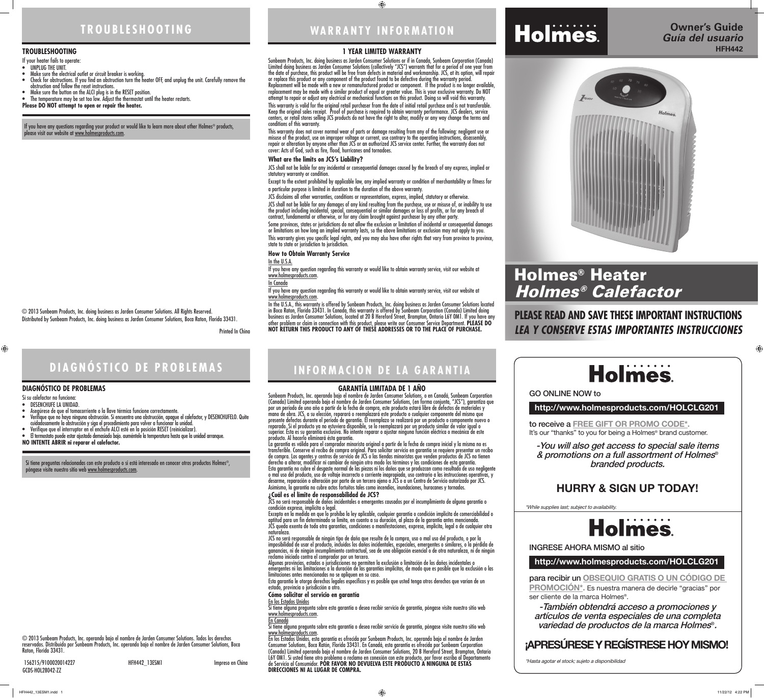# **TROUBLESHOOTING**

#### **1 YEAR LIMITED WARRANTY**

Sunbeam Products, Inc. doing business as Jarden Consumer Solutions or if in Canada, Sunbeam Corporation (Canada) Limited doing business as Jarden Consumer Solutions (collectively "JCS") warrants that for a period of one year from the date of purchase, this product will be free from defects in material and workmanship. JCS, at its option, will repair or replace this product or any component of the product found to be defective during the warranty period. Replacement will be made with a new or remanufactured product or component. If the product is no longer available, replacement may be made with a similar product of equal or greater value. This is your exclusive warranty. Do NOT attempt to repair or adjust any electrical or mechanical functions on this product. Doing so will void this warranty. This warranty is valid for the original retail purchaser from the date of initial retail purchase and is not transferable. Keep the original sales receipt. Proof of purchase is required to obtain warranty performance. JCS dealers, service centers, or retail stores selling JCS products do not have the right to alter, modify or any way change the terms and conditions of this warranty.

This warranty does not cover normal wear of parts or damage resulting from any of the following: negligent use or misuse of the product, use on improper voltage or current, use contrary to the operating instructions, disassembly, repair or alteration by anyone other than JCS or an authorized JCS service center. Further, the warranty does not cover: Acts of God, such as fire, flood, hurricanes and tornadoes.

Some provinces, states or jurisdictions do not allow the exclusion or limitation of incidental or consequential damages or limitations on how long an implied warranty lasts, so the above limitations or exclusion may not apply to you. This warranty gives you specific legal rights, and you may also have other rights that vary from province to province, state to state or jurisdiction to jurisdiction.

If you have any question regarding this warranty or would like to obtain warranty service, visit our website at www.holmesproducts.com

If you have any question regarding this warranty or would like to obtain warranty service, visit our website at www.holmesproducts.com.

#### **What are the limits on JCS's Liability?**

JCS shall not be liable for any incidental or consequential damages caused by the breach of any express, implied or statutory warranty or condition.

Except to the extent prohibited by applicable law, any implied warranty or condition of merchantability or fitness for a particular purpose is limited in duration to the duration of the above warranty.

JCS disclaims all other warranties, conditions or representations, express, implied, statutory or otherwise.

JCS shall not be liable for any damages of any kind resulting from the purchase, use or misuse of, or inability to use the product including incidental, special, consequential or similar damages or loss of profits, or for any breach of contract, fundamental or otherwise, or for any claim brought against purchaser by any other party.

La garantía es válida para el comprador minorista original a partir de la fecha de compra inicial y la misma no es transferible. Conserve el recibo de compra original. Para solicitar servicio en garantía se requiere presentar un recibo de compra. Los agentes y centros de servicio de JCS o las tiendas minoristas que venden productos de JCS no tienen derecho a alterar, modificar ni cambiar de ningún otro modo los términos y las condiciones de esta garantía. Esta garantía no cubre el desgaste normal de las piezas ni los daños que se produzcan como resultado de uso negligente o mal uso del producto, uso de voltaje incorrecto o corriente inapropiada, uso contrario a las instrucciones operativas, y desarme, reparación o alteración por parte de un tercero ajeno a JCS o a un Centro de Servicio autorizado por JCS. Asimismo, la garantía no cubre actos fortuitos tales como incendios, inundaciones, huracanes y tornados.

#### **How to Obtain Warranty Service**

In the U.S.A.

In Canada

JCS no será responsable de daños incidentales o emergentes causados por el incumplimiento de alguna garantía o condición expresa, implícita o legal.<br>Excepto en la medida en que lo prohíba la ley aplicable, cualquier garantía o condición implícita de comerciabilidad o

In the U.S.A., this warranty is offered by Sunbeam Products, Inc. doing business as Jarden Consumer Solutions located in Boca Raton, Florida 33431. In Canada, this warranty is offered by Sunbeam Corporation (Canada) Limited doing business as Jarden Consumer Solutions, located at 20 B Hereford Street, Brampton, Ontario L6Y 0M1. If you have any other problem or claim in connection with this product, please write our Consumer Service Department. **PLEASE DO NOT RETURN THIS PRODUCT TO ANY OF THESE ADDRESSES OR TO THE PLACE OF PURCHASE.**



#### **GARANTIA LIMITADA DE 1 ANO**

#### **TROUBLESHOOTING**

If your heater fails to operate:

- UNPLUG THE UNIT.
- Make sure the electrical outlet or circuit breaker is working.
- Check for obstructions. If you find an obstruction turn the heater OFF, and unplug the unit. Carefully remove the obstruction and follow the reset instructions.
- Make sure the button on the ALCI plug is in the RESET position.
- The temperature may be set too low. Adjust the thermostat until the heater restarts.
- **Please DO NOT attempt to open or repair the heater.**

Si tiene alguna pregunta sobre esta garantía o desea recibir servicio de garantía, póngase visite nuestro sitio web www.holmesproducts.com.<br>En Canadá

#### **DIAGNÓSTICO DE PROBLEMAS**

www.holmesproducts.com.<br>En los Estados Unidos, esta garantía es ofrecida por Sunbeam Products, Inc. operando bajo el nombre de Jarden Consumer Solutions, Boca Ratón, Florida 33431. En Canadá, esta garantía es ofrecida por Sunbeam Corporation (Canada) Limited operando bajo el nombre de Jarden Consumer Solutions, 20 B Hereford Street, Brampton, Ontario L6Y 0M1. Si usted tiene otro problema o reclamo en conexión con este producto, por favor escriba al Departamento de Servicio al Consumidor. **POR FAVOR NO DEVUELVA ESTE PRODUCTO A NINGUNA DE ESTAS DIRECCIONES NI AL LUGAR DE COMPRA.**

- Si su calefactor no funciona:
- DESENCHUFE LA UNIDAD.
- Asegúrese de que el tomacorriente o la llave térmica funcione correctamente. • Verifique que no haya ninguna obstrucción. Si encuentra una obstrucción, apague el calefactor, y DESENCHUFELO. Quite
- cuidadosamente la obstrucción y siga el procedimiento para volver a funcionar la unidad. • Verifique que el interruptor en el enchufe ALCI esté en la posición RESET (reinicializar).
- El termostato puede estar ajustado demasiado bajo. auméntele la temperatura hasta que la unidad arranque.

**NO INTENTE ABRIR ni reparar el calefactor.** 

If you have any questions regarding your product or would like to learn more about other Holmes® products, please visit our website at <u>www.holmesproducts.com</u>.

**WARRANTY INFORMATION**

 $\bigoplus$ 

# **DIAGNÓSTICO DE PROBLEMAS INFORMACION DE LA GARANTIA**

to receive a **FREE GIFT OR PROMO CODE\*.** It's our "thanks" to you for being a Holmes<sup>®</sup> brand customer.

# **Holmes**

para recibir un **OBSEQUIO GRATIS O UN CÓDIGO DE PROMOCIÓN\*.** Es nuestra manera de decirle "gracias" por ser cliente de la marca Holmes®.

Sunbeam Products, Inc. operando bajo el nombre de Jarden Consumer Solutions, o en Canadá, Sunbeam Corporation (Canada) Limited operando bajo el nombre de Jarden Consumer Solutions, (en forma conjunta, "JCS"), garantiza que por un período de uno año a partir de la fecha de compra, este producto estará libre de defectos de materiales y mano de obra. JCS, a su elección, reparará o reemplazará este producto o cualquier componente del mismo que presente defectos durante el período de garantía. El reemplazo se realizará por un producto o componente nuevo o reparado. Si el producto ya no estuviera disponible, se lo reemplazará por un producto similar de valor igual o superior. Ésta es su garantía exclusiva. No intente reparar o ajustar ninguna función eléctrica o mecánica de este producto. Al hacerlo elimínará ésta garantía.

#### **¿Cuál es el límite de responsabilidad de JCS?**

aptitud para un fin determinado se limita, en cuanto a su duración, al plazo de la garantía antes mencionada. JCS queda exenta de toda otra garantías, condiciones o manifestaciones, expresa, implícita, legal o de cualquier otra naturaleza.

JCS no será responsable de ningún tipo de daño que resulte de la compra, uso o mal uso del producto, o por la imposibilidad de usar el producto, incluidos los daños incidentales, especiales, emergentes o similares, o la pérdida de ganancias, ni de ningún incumplimiento contractual, sea de una obligación esencial o de otra naturaleza, ni de ningún reclamo iniciado contra el comprador por un tercero.

Algunas provincias, estados o jurisdicciones no permiten la exclusión o limitación de los daños incidentales o emergentes ni las limitaciones a la duración de las garantías implícitas, de modo que es posible que la exclusión o las limitaciones antes mencionadas no se apliquen en su caso.

Esta garantía le otorga derechos legales específicos y es posible que usted tenga otros derechos que varían de un estado, provincia o jurisdicción a otro.

**Cómo solicitar el servicio en garantía** 

En los Estados Unidos

Si tiene alguna pregunta sobre esta garantía o desea recibir servicio de garantía, póngase visite nuestro sitio web

156215/9100020014227 HFH442\_13ESM1 Impreso en China GCDS-HOL28042-ZZ



© 2013 Sunbeam Products, Inc. doing business as Jarden Consumer Solutions. All Rights Reserved. Distributed by Sunbeam Products, Inc. doing business as Jarden Consumer Solutions, Boca Raton, Florida 33431.

Printed In China

 $\bigoplus$ 

© 2013 Sunbeam Products, Inc. operando bajo el nombre de Jarden Consumer Solutions. Todos los derechos reservados. Distribuido por Sunbeam Products, Inc. operando bajo el nombre de Jarden Consumer Solutions, Boca Raton, Florida 33431.

Si tiene preguntas relacionadas con este producto o si está interesado en conocer otros productos Holmes®, póngase visite nuestro sitio web www.holmesproducts.com.

# **PLEASE READ AND SAVE THESE IMPORTANT INSTRUCTIONS** *LEA Y CONSERVE ESTAS IMPORTANTES INSTRUCCIONES*





# **http://www.holmesproducts.com/HOLCLG201**

**http://www.holmesproducts.com/HOLCLG201**

GO ONLINE NOW to

INGRESE AHORA MISMO al sitio

-You will also get access to special sale items & promotions on a full assortment of Holmes® branded products.

-También obtendrá acceso a promociones y artículos de venta especiales de una completa variedad de productos de la marca Holmes®.

\*While supplies last; subject to availability.

\*Hasta agotar el stock; sujeto a disponibilidad

# **HURRY & SIGN UP TODAY!**

# **¡APRESÚRESE Y REGÍSTRESE HOY MISMO!**

# Holmes® Heater Holmes® Calefactor

 $\bigoplus$